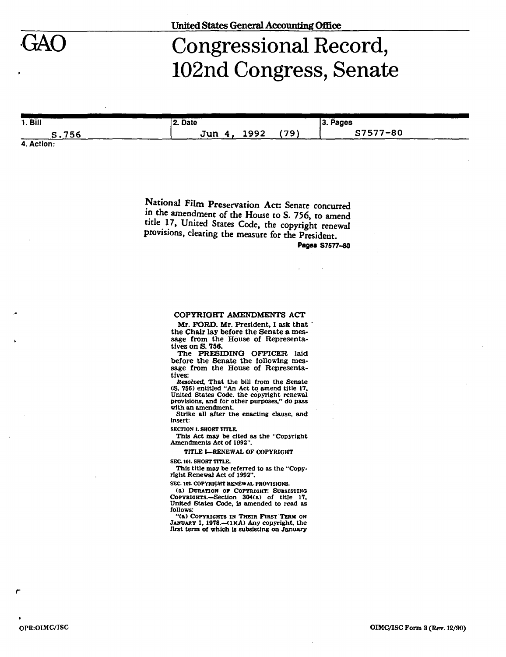

## Congressional Record, 102nd Congress, Senate

| 1. <b>B</b> | 2. Date           |      | 3. Pages |  |
|-------------|-------------------|------|----------|--|
| S.756       | 1992<br>Jun<br>4. | (79) | S7577-80 |  |
| A Action-   |                   |      |          |  |

**4. Action:** 

National Film Preservation Act: Senate concurred in the amendment of the House to S. 756, to amend title 17, United States Code, the copyright renewal provisions, clearing the measure for the President.

**Pages S7577-80** 

## **COPYRIGHT** *AMENDMENTS* **ACT**

**Mr. FORD. Mr. President, I ask that the Chair lay before the Senate a message from the House of Representatives on S. 756.** 

**The PRESIDING OFFICER laid before the Senate the following message from the House of Representatives:** 

*Resolved,* **That the bill from the Senate (S. 756) entitled "An Act to amend title 17, United States Code, the copyright renewal provisions, and for other purposes," do pass with an amendment.** 

**Strike all after the enacting clause, and insert:** 

**SECTION 1. SHORT TITLE.** 

**This Act may be cited as the "Copyright Amendments Act of 1992".** 

**TITLE I—RENEWAL OF COPYRIGHT** 

**SEC 101. SHORT TITLE.** 

**This title may be referred to as the "Copyright Renewal Act of 1992".** 

**SEC IOt COPYRIGHT RENEWAL PROVISIONS.** 

**(a) DURATION or COPYRIGHT: SUBSISTING COPYRIGHTS.—Section 304(a) of title 17, United States Code, is amended to read as follows:** 

**"(a) COPYRIGHTS IN THEIR FIBST TERM ON**  JANUARY 1, 1978.—(1)(A) Any copyright, the **first term of which is subsisting on January**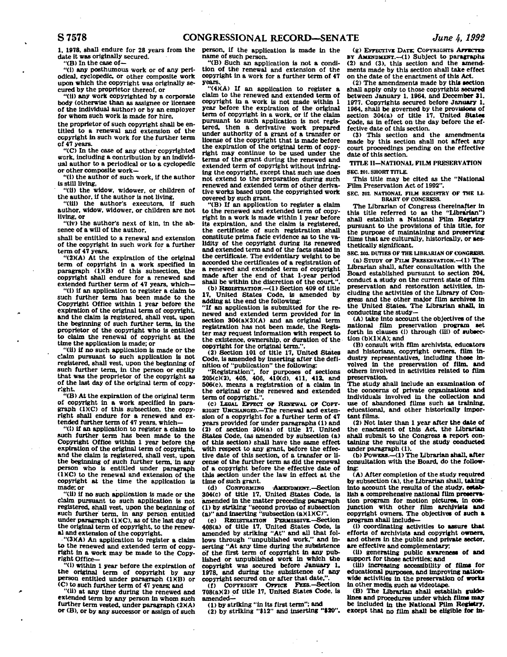**1. 1978, shall endure for 28 years from the date it was originally secured.** 

**"(B) In the case of—** 

**"(i) any posthumous work or of any periodical, cyclopedic or other composite work upon which the copyright was originally secured by the proprietor thereof, or** 

**"(11) any work copyrighted by a corporate body (otherwise than as assignee or licensee of the individual author) or by an employer for whom such work is made for hire,** 

**the proprietor of such copyright shall be entitled to a renewal and extension of the copyright in such work for the further term of 47 years.** 

**"(C) In the case of any other copyrighted work, including a contribution by an Individual author to a periodical or to a cyclopedic or other composite work—** 

**"(i) the author of such work, if the author is still living,** 

**"(11) the widow, widower, or children of the author, if the author is not living.** 

**"(Ui) the author's executors, if such author, widow, widower, or children are not living, or** 

**"(iv) the author's next of kin, In the absence of a will of the author,** 

**shall be entitled to a renewal and extension of the copyright In such work for a further term of 47 years.** 

**"(2)(A) At the expiration of the original term of copyright in a work specified In paragraph (IHB) of this subsection, the copyright shall endure for a renewed and extended further term of 47 years, which—** 

**"(1) If an application to register a claim to such further term has been made to the Copyright Office within 1 year before the expiration of the original term of copyright, and the claim is registered, shall vest, upon the beginning of such further term, in the proprietor of the copyright who is entitled to claim the renewal of copyright at the time the application is made; or** 

**"(ii) if no such application is made or the claim pursuant to such application is not registered, shall vest, upon the beginning of such further term, in the person or entity that was the proprietor of the copyright as of the last day of the original term of copyright.** 

**"(B) At the expiration of the original term of copyright in a work specified in paragraph (IXC) of this subsection, the copyright shall endure for a renewed and extended further term of 47 years, which—** 

**"(1) If an application to register a claim to such further term has been made to the Copyright Office within 1 year before the expiration of the original term of copyright, and the claim Is registered, shall vest, upon the beginning of such further term. In any person who is entitled under paragraph (IXC) to the renewal and extension of the copyright at the time the application is made; or** 

**"(ii) If no such application is made or the claim pursuant to such application is not registered, shall vest, upon the beginning of such further term, in any person entitled under paragraph (IXC), as of the last day of the original term of copyright, to the renew**al and extension of the copyright.

**"(3 HA) An application to register a claim to the renewed and extended term of copyright In a work may be made to the Copyright Office—** 

**"(i) within 1 year before the expiration of the original term of copyright by any person entitled under paragraph (1KB) or (C) to such further term of 47 years; and** 

**"(ii) at any time during the renewed and extended term by any person In whom such further term vested, under paragraph (2KA) or (B), or by any successor or assign of such**  **person, if the application is made in the name of such person.** 

**"(B) Such an application is not a condition of the renewal and extension of the copyright In a work for a further term of 47 years..** 

**"(4KA) If an application to register a claim to the renewed and extended term of copyright in a work is not made within 1 year before the expiration of the original term of copyright in a work, or if the claim pursuant to such application is not registered, then a derivative work prepared under authority of a grant of a transfer or license of the copyright that is made before the expiration of the original term of copyright may continue to be used under the terms of the grant during the renewed and extended term of copyright without Infringing the copyright, except that such use does not extend to the preparation during such renewed and extended term of other derivative works based upon the copyrighted work covered by such grant.** 

**"(B) If an application to register a claim to the renewed and extended term of copyright in a work is made within 1 year before its expiration, and the claim is registered, the certificate of such registration shall constitute prima facie evidence as to the validity of the copyright during its renewed and extended term and of the facts stated in the certificate. The evidentiary weight to be accorded the certificates of a registration of a renewed and extended term of copyright made after the end of that 1-year period**  shall be within the discretion of the court.'

**(b) REGISTRATION.—<1) Section 409 of title 17, United States Code, Is amended by adding at the end the following:** 

**"If an application is submitted for the renewed and extended term provided for in**  section 304(a)(3)(A) and an original term **registration has not been made, the Register may request information with respect to the existence, ownership, or duration of the copyright for the original term.".** 

**(2) Section 101 of title 17, United States Code, is amended by Inserting after the definition of "publication" the following:** 

**"Registration", for purposes of sections 205(c)(2). 405, 406, 410(d). 411, 412. and 506(e), means a registration of a claim in the original or the renewed and extended term of copyright.".** 

**(c) LEGAL EFFECT or RENEWAL or COPT-EIGHT UNCHANGED.—The renewal and extension of a copyright for a further term of 47 years provided for under paragraphs (1) and (2) of section 304(a) of title 17. United States Code, (as amended by subsection (a) of this section) shall have the same effect**  with respect to any grant, before the effec**tive date of this section, of a transfer or license of the further term as did the renewal of a copyright before the effective date of this section under the law in effect at the time of such grant.** 

**(d) CONFORMING -AMENDMENT.—Section 304(c) of title 17, United States Code. Is amended in the matter preceding paragraph (1) by striking "second proviso of subsection**  (a)" and inserting "subsection (a)(1)(C)

**(e) REGISTRATION PERMISSIVE.—Section 408(a) of title 17, United States Code, is amended by striking "At" and all that follows through "unpublished work." and inserting "At any time during the subsistence of the first term of copyright in any published or unpublished work in which the copyright was secured before January 1. 1978. and during the subsistence of any copyright secured on or after that date,".** 

**(f) COPYRIGHT OFFICE FEES.—Section 708(aX2> of title 17, United States Code, is amended—** 

**(1) by striking "in its first term": and (2) by striking "»12" and inserting "\$20".** 

**(g) EFFECTIVE DATE: COPYRIGHTS AFFBCTXD BY AMENDMENT.—(1) Subject to paragraphs (2) and (3), this section and the amendments made by this section shall take effect on the date of the enactment of this Act.** 

**(2) The amendments made by this section shall apply only to those copyrights secured**  between January 1, 1964, and December 31. **1977. Copyrights secured before January 1. 1964, shall be governed by the provisions of**  section 304(a) of title 17. United States Code, as in effect on the day before the ef**fective date of this section.** 

**(3) This section and the amendments made by this section shall not affect any court proceedings pending on the effective date of this section.** 

**TITLE II—NATIONAL FILM PRESERVATION SEC 201. SHORT TITLE.** 

**This title may be cited as the "National Film Preservation Act of 1992".** 

**SEC. 202. NATIONAL FILM REGISTRY OF THE LI-BRARY OF CONGRESS.** 

**The Librarian of Congress (hereinafter In this title referred to as the "Librarian") shall establish a National Film Registry pursuant to the provisions of this title, for the purpose of maintaining and preserving films that are culturally, historically, or aesthetically significant.** 

**SEC. 203. DUTIES OF THE LIBRARIAN OF CONGRESS. (a) STUDY OF FILM PRESERVATION.—(1) The** 

**Librarian shall, after consultation with the Board established pursuant to section 204, conduct a study on the current state of film preservation and restoration activities, including the activities of the Library of Congress and the other major film archives in the United States. The Librarian shall, in conducting the study—** 

**(A) take Into account the objectives of the national film preservation program set forth in clauses (1) through (Ui) of subsection (bXD(A); and** 

**(B) consult with film archivists, educators and historians, copyright owners, film in**dustry representatives, including those in**volved in the preservation of film, and others involved in activities related to film preservation.** 

**The study shall include an examination of the concerns of private organizations and individuals Involved In the collection and use of abandoned films such as training, educational, and other historically impor**tant films.

**(2) Not later than 1 year after the date of**  the enactment of this Act, the Librarian **shall submit to the Congress a report containing the results of the study conducted under paragraph (1).** 

**(b) POWERS.—<1) The Librarian shall, after consultation with the Board, do the following:** 

**(A) After completion of the study required by subsection (a), the Librarian shall, taking Into account the results of the study, establish a comprehensive national film preservation program for motion pictures. In con-junction with other film archivists and copyright owners. The objectives of such a program shall include—** 

**(i) coordinating activities to assure that efforts of archivists and copyright owners, and others in the public and private sector, are effective and complementary;** 

**(U) generating pubUc awareness of and support for those activities; and** 

**(Ui) increasing accessibility of films for educational purposes, and improving nationwide activities in the preservation of works in other media such as videotape.** 

**(B) The Librarian shall establish guidelines and procedures under which films may be included in the National Film Registry, except that no film shall be eligible for in-**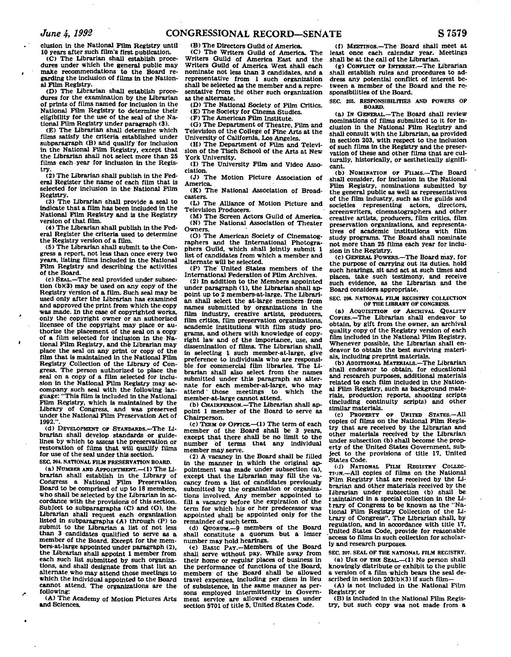**elusion In the National Film Registry until 10 years after such film's first publication.** 

**(C) The Librarian shall establish procedures under which the general public may make recommendations to the Board re-garding the Inclusion of films in the National Film Registry.** 

**(D) The Librarian shall establish procedures for the examination by the Librarian of prints of films named for inclusion in the National Film Registry to determine their eligibility for the use of the seal of the National Film Registry under paragraph (3).** 

**(E) The Librarian shall determine which films satisfy the criteria established under subparagraph (B) and qualify for inclusion in the National Film Registry, except that the Librarian shall not select more than 25 films each year for inclusion in the Registry.** 

**(2) The Librarian shall publish in the Federal Register the name of each film that is selected for inclusion In the National Film Registry.** 

**(3) The Librarian shall provide a seal to indicate that a film has been Included in the National Film Registry and Is the Registry version of that film.** 

**(4) The Librarian shall publish In the Federal Register the criteria used to determine the Registry version of a film.** 

**(5) The Librarian shall submit to the Congress a report, not less than once every two years, listing films included in the National Film Registry and describing the activities of the Board.** 

**(c) SEAL.—The seal provided under subsection (bX3) may be used on any copy of the Registry version of a film. Such seal may be used only after the Librarian has examined and approved the print from which the copy was made. In the case of copyrighted works, only the copyright owner or an authorized licensee of the copyright may place or authorize the placement of the seal on a copy of a film selected for inclusion in the National Film Registry, and the Librarian may place the seal on any print or copy of the**  film that is maintained in the National Film **Registry Collection of the Library of Congress. The person authorized to place the seal on a copy of a film selected for inclusion in the National Film Registry may accompany such seal with the following language: "This film is included in the National Film Registry, which is maintained by the Library of Congress, and was preserved under the National Film Preservation Act of 1992.".** 

**(d) DEVELOPMENT OF STANDARDS.—The Librarian shall develop standards or guidelines by which to assess the preservation or restoration of films that, will qualify films for use of the seal under this section. SEC 204. NATIONAL FILM PRESERVATION BOARD.** 

**(a) NUMBER AND APPOINTMENT.—<1) The Librarian shall establish in the Library of Congress a National Film Preservation Board to be comprised of up to 18 members, who shall be selected by the Librarian in accordance with the provisions of this section. Subject to subparagraphs (C) and (O), the Librarian shall request each organization listed in subparagraphs (A) through (P) to submit to the Librarian a list of not less than 3 candidates qualified to serve as a member of the Board. Except for the members-at-large appointed under paragraph (2), the Librarian shall appoint 1 member from**  each such list submitted by such organiza**tions, and shall designate from that list an alternate who may attend those meetings to which the individual appointed to the Board cannot attend. The organizations are the following:** 

**(A) The Academy of Motion Pictures Arts and Sciences.** 

**<B) The Directors Guild of America. (C) The Writers Guild of America. The Writers Guild of America East and the Writers Guild of America West shall each nominate not less than 3 candidates, and a representative from 1 such organization shall be selected as the member and a representative from the other such organization as the alternate.** 

**(D) The National Society of Film Critics.** 

**(E) The Society for Cinema Studies.** 

**(F) The American Film Institute.** 

**(G) The Department of Theatre, Film and Television of the College of Fine Arts at the University of California, Los Angeles.** 

(H) The Department of Film and Televi**sion of the Tisch School of the Arts at New York University.** 

**(1) The University Film and Video Association.** 

**<J) The Motion Picture Association of America..** 

**(K) The National Association of Broadcasters.** 

**<L) The Alliance of Motion Picture and Television Producers.** 

**<M) The Screen Actors Guild of America. (N) The National Association of Theater Owners.** 

**(O) The American Society of Clnematographers and the International Photographers Guild, which shall jointly submit 1 list of candidates from which a member and alternate will be selected.** 

**(P) The'United States members of the International Federation of Film Archives.** 

**(2) In addition to the Members appointed under paragraph (1), the Librarian shall appoint up to 2 members-at-large. The Librarian shall select the at-large members from names submitted by organizations in the film industry, creative artists, producers, film critics, film preservation organizations, academic institutions with film study programs, and others with knowledge of copyright law and of the Importance, use, and dissemination of films. The Librarian shall, in selecting 1 such member-at-large, give preference to individuals who are responsible for commercial film libraries. The Librarian shall also select from the names submitted under this paragraph an alternate for each member-at-large, who may attend" those meetings to which the member-at-large cannot attend.** 

**(b) CHAIRPERSON.—The Librarian shall appoint 1 member of the Board to serve as Chairperson.** 

**(c) TERM OF OFFICE.—(1) The term of each member of the Board shall be 3 years, except that there shall be no limit to the number of terms that any individual member may serve.** 

**(2) A vacancy in the Board shall be filled in the manner in which the original appointment was made under subsection (a), except that the Librarian may fill the vacancy from a list of candidates previously submitted by the organization or organizations involved. Any member appointed to fill a vacancy before the expiration of the term for which his or her predecessor was appointed shall be appointed only for the remainder of such term.** 

**(d) QUORUM.—9 members of the Board shall constitute a quorum but a lesser number may hold hearings.** 

**<e) BASIC PAY.—Members of the Board shall serve without pay. While away from their home or regular places of business in the performance of functions of the Board, members of the Board shall be allowed travel expenses, including per diem in lieu of subsistence, in the same manner as per**sons employed intermittently in Govern**ment service are allowed expenses under section 5701 of title 5, United States Code.** 

**(f) MEETINGS.—The Board shall meet at least once each calendar year. Meetings shall be at the call of the Librarian.** 

**(g) CONFLICT OF INTEREST.—The Librarian shall establish rules and procedures to address any potential conflict of interest between a member of the Board and the responsibilities of the Board.** 

**SEC 205. RESPONSIBILITIES AND POWERS OP BOARD.** 

**(a) IN GENERAL.—The Board shall review nominations of films submitted to it for inclusion In the National Film Registry and shall consult with the Librarian, as provided in section 203, with respect to the Inclusion of such films In the Registry and the preservation of these and other films that are culturally, historically, or aesthetically significant.** 

**<b) NOMINATION OF FILMS.—The Board shall consider, for inclusion in the National Film Registry, nominations submitted by the general public as well as representatives of the film industry, such as the guilds and societies representing actors, directors, screenwriters, clnematographers and other creative artists, producers, film critics, film preservation organizations, and representa-tives of academic Institutions with film study programs. The Board shall nominate not more than 25 films each year for inclusion in the Registry.** 

**(c) GENERAL POWERS.—The Board may, for the purpose of carrying out its duties, hold such hearings, sit and act at such times and places, take such testimony, and receive such evidence, as the Librarian and the Board considers appropriate.** 

**SEC. 208. NATIONAL FILM RECISTRY COLLECTION OF THE LIBRARY OF CONGRESS.** 

**(a) ACQUISITION OF ARCHIVAL QUALITY COPIES.—The Librarian shall endeavor to obtain, by gift from the owner, an archival quality copy of the Registry version of each film included in the National Film Registry. Whenever possible, the Librarian shall endeavor to obtain the best surviving materials, including preprint materials.** 

**(b) ADDITIONAL MATERIALS.—The Librarian shall endeavor to obtain, for educational and research purposes, additional materials related to each film included in the National Film Registry, such as background materials, production reports, shooting scripts (including continuity scripts) and other similar materials.** 

**(c) PROPERTY OF UNITED STATES.—All copies of films on the National Film Registry that are received by the Librarian and other materials received by the Librarian under subsection (b) shall become the property of the United States Government, subject to the provisions of title 17, United States Code.** 

(d) NATIONAL FILM REGISTRY COLLECTION.<sup>-</sup>All copies of films on the National  $-$ All copies of films on the National **Film Registry that are received by the Librarian and other materials received by the librarian under subsection (b) shall be riaintained in a special collection in the Library of Congress to be known as the "National Film Registry Collection of the library of Congress". The Librarian shall, by regulation, and in accordance with title 17, United States Code, provide for reasonable "access to films in such collection for scholarly and research purposes.** 

**SEC 207. SEAL OF THE NATIONAL FILM REGISTRY. (a) USE OF THE SEAL.—<1) No person shall knowingly distribute or exhibit to the public a version of a film which bears the seal de**scribed in section 203(b)(3) if such film-

**(A) is not included in the National Film Registry; or** 

**(B) is Included in the National Film Registry, but such copy was not made from a**